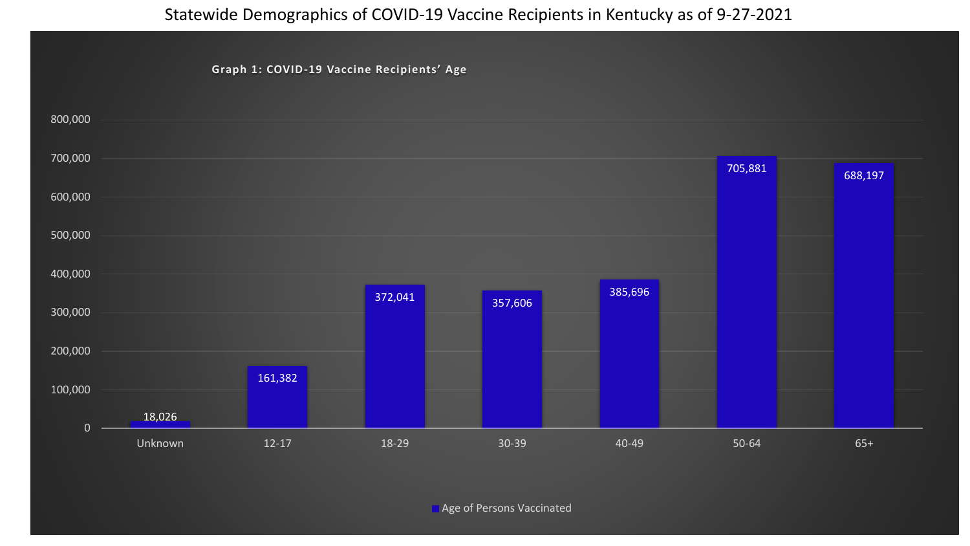## Statewide Demographics of COVID-19 Vaccine Recipients in Kentucky as of 9-27-2021

**Graph 1: COVID-19 Vaccine Recipients' Age**

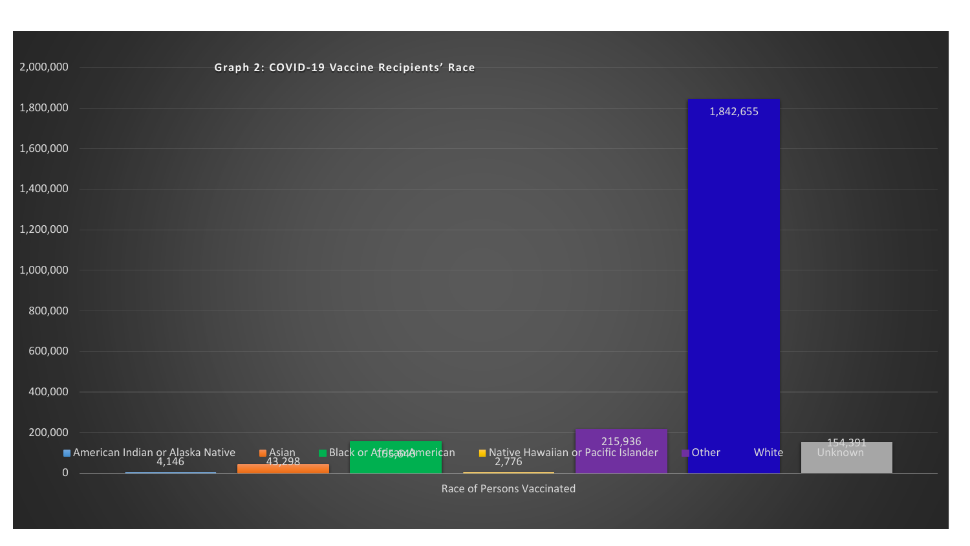| 2,000,000 | Graph 2: COVID-19 Vaccine Recipients' Race                                                                                                                                |                |                    |
|-----------|---------------------------------------------------------------------------------------------------------------------------------------------------------------------------|----------------|--------------------|
| 1,800,000 |                                                                                                                                                                           | 1,842,655      |                    |
| 1,600,000 |                                                                                                                                                                           |                |                    |
| 1,400,000 |                                                                                                                                                                           |                |                    |
| 1,200,000 |                                                                                                                                                                           |                |                    |
| 1,000,000 |                                                                                                                                                                           |                |                    |
| 800,000   |                                                                                                                                                                           |                |                    |
| 600,000   |                                                                                                                                                                           |                |                    |
| 400,000   |                                                                                                                                                                           |                |                    |
| 200,000   | 215,936<br>2,776 Native Hawaiian or Pacific Islander<br><b>Black or African</b> Black or African<br>■ American Indian or Alaska Native<br>1,146<br><b>Asian</b><br>43,298 | Other<br>White | 154,391<br>Unknown |
|           | $\mathbf{0}$<br>Race of Persons Vaccinated                                                                                                                                |                |                    |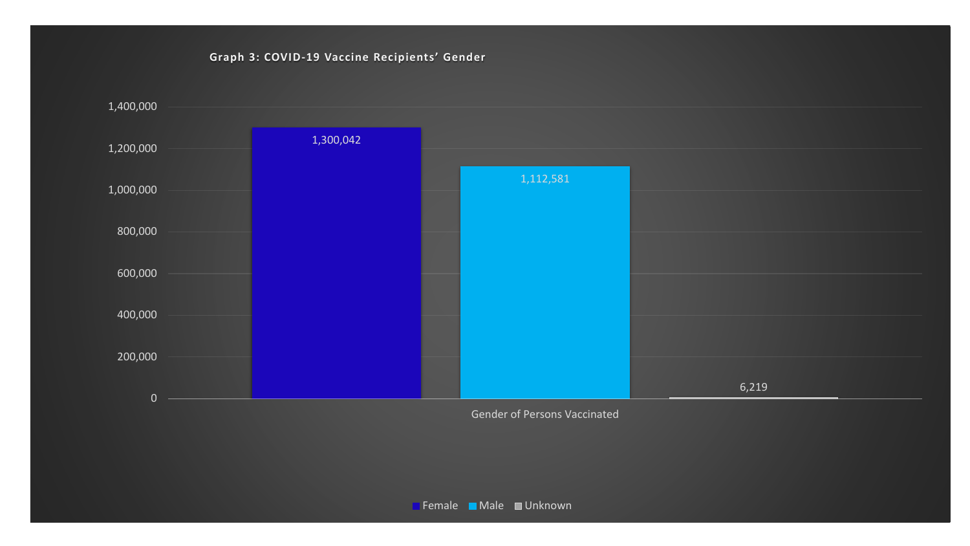## **Graph 3: COVID-19 Vaccine Recipients' Gender**

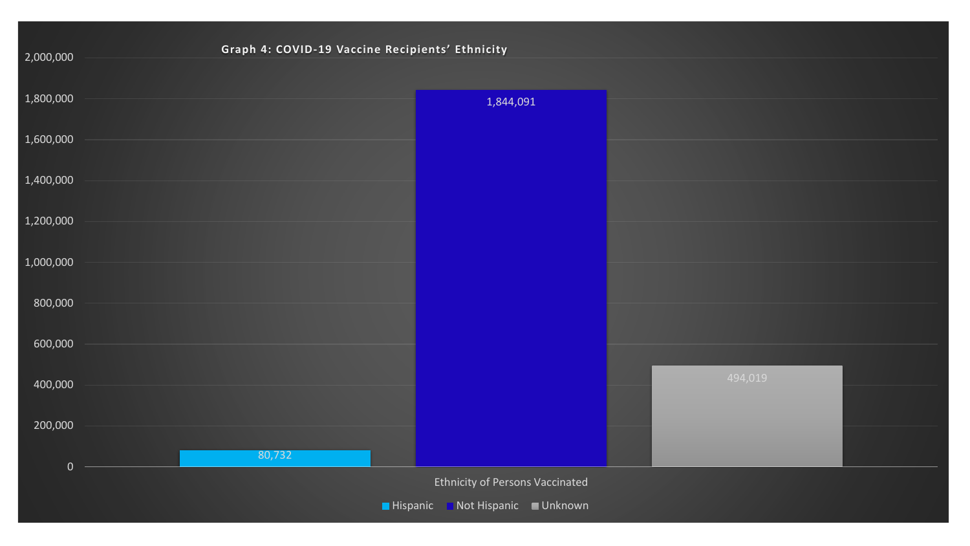| Graph 4: COVID-19 Vaccine Recipients' Ethnicity |                 |                                        |         |  |
|-------------------------------------------------|-----------------|----------------------------------------|---------|--|
| 2,000,000                                       |                 |                                        |         |  |
| 1,800,000                                       |                 | 1,844,091                              |         |  |
|                                                 |                 |                                        |         |  |
| 1,600,000                                       |                 |                                        |         |  |
| 1,400,000                                       |                 |                                        |         |  |
|                                                 |                 |                                        |         |  |
| 1,200,000                                       |                 |                                        |         |  |
| 1,000,000                                       |                 |                                        |         |  |
|                                                 |                 |                                        |         |  |
| 800,000                                         |                 |                                        |         |  |
| 600,000                                         |                 |                                        |         |  |
|                                                 |                 |                                        |         |  |
| 400,000                                         |                 |                                        | 494,019 |  |
|                                                 |                 |                                        |         |  |
| 200,000                                         |                 |                                        |         |  |
| $\overline{0}$                                  | 80,732          |                                        |         |  |
|                                                 |                 | <b>Ethnicity of Persons Vaccinated</b> |         |  |
|                                                 | <b>Hispanic</b> | Not Hispanic Unknown                   |         |  |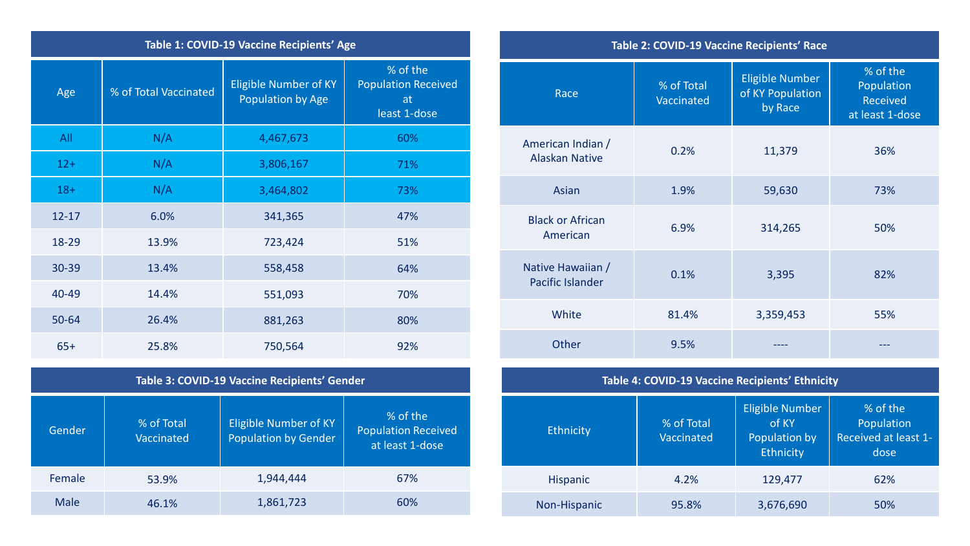| Table 1: COVID-19 Vaccine Recipients' Age |                       |                                                   |                                                              |  |
|-------------------------------------------|-----------------------|---------------------------------------------------|--------------------------------------------------------------|--|
| Age                                       | % of Total Vaccinated | <b>Eligible Number of KY</b><br>Population by Age | % of the<br><b>Population Received</b><br>at<br>least 1-dose |  |
| All                                       | N/A                   | 4,467,673                                         | 60%                                                          |  |
| $12+$                                     | N/A                   | 3,806,167                                         | 71%                                                          |  |
| $18 +$                                    | N/A                   | 3,464,802                                         | 73%                                                          |  |
| $12 - 17$                                 | 6.0%                  | 341,365                                           | 47%                                                          |  |
| 18-29                                     | 13.9%                 | 723,424                                           | 51%                                                          |  |
| 30-39                                     | 13.4%                 | 558,458                                           | 64%                                                          |  |
| 40-49                                     | 14.4%                 | 551,093                                           | 70%                                                          |  |
| 50-64                                     | 26.4%                 | 881,263                                           | 80%                                                          |  |
| $65+$                                     | 25.8%                 | 750,564                                           | 92%                                                          |  |

| Table 3: COVID-19 Vaccine Recipients' Gender |  |  |
|----------------------------------------------|--|--|
|----------------------------------------------|--|--|

| Gender | % of Total<br>Vaccinated | <b>Eligible Number of KY</b><br><b>Population by Gender</b> | % of the<br><b>Population Received</b><br>at least 1-dose |
|--------|--------------------------|-------------------------------------------------------------|-----------------------------------------------------------|
| Female | 53.9%                    | 1,944,444                                                   | 67%                                                       |
| Male   | 46.1%                    | 1,861,723                                                   | 60%                                                       |

| Table 2: COVID-19 Vaccine Recipients' Race |                          |                                                       |                                                                |
|--------------------------------------------|--------------------------|-------------------------------------------------------|----------------------------------------------------------------|
| Race                                       | % of Total<br>Vaccinated | <b>Eligible Number</b><br>of KY Population<br>by Race | $%$ of the<br>Population<br><b>Received</b><br>at least 1-dose |
| American Indian /<br><b>Alaskan Native</b> | 0.2%                     | 11,379                                                | 36%                                                            |
| Asian                                      | 1.9%                     | 59,630                                                | 73%                                                            |
| <b>Black or African</b><br>American        | 6.9%                     | 314,265                                               | 50%                                                            |
| Native Hawaiian /<br>Pacific Islander      | 0.1%                     | 3,395                                                 | 82%                                                            |
| White                                      | 81.4%                    | 3,359,453                                             | 55%                                                            |
| Other                                      | 9.5%                     |                                                       |                                                                |
|                                            |                          |                                                       |                                                                |

| Table 4: COVID-19 Vaccine Recipients' Ethnicity |                          |                                                               |                                                        |  |
|-------------------------------------------------|--------------------------|---------------------------------------------------------------|--------------------------------------------------------|--|
| Ethnicity                                       | % of Total<br>Vaccinated | <b>Eligible Number</b><br>of KY<br>Population by<br>Ethnicity | % of the<br>Population<br>Received at least 1-<br>dose |  |
| <b>Hispanic</b>                                 | 4.2%                     | 129,477                                                       | 62%                                                    |  |
| Non-Hispanic                                    | 95.8%                    | 3,676,690                                                     | 50%                                                    |  |